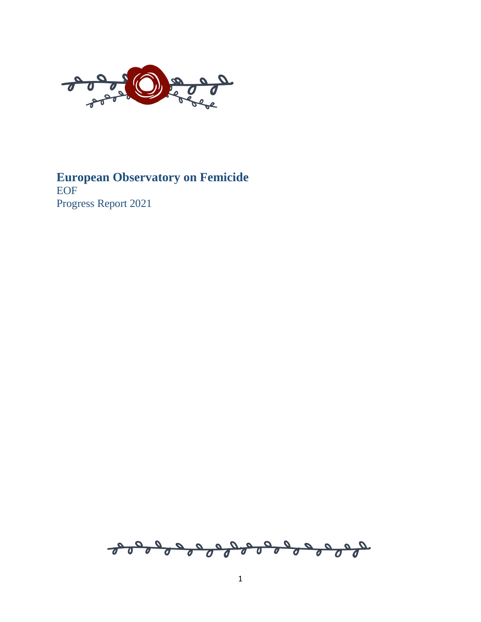

## **European Observatory on Femicide** EOF Progress Report 2021

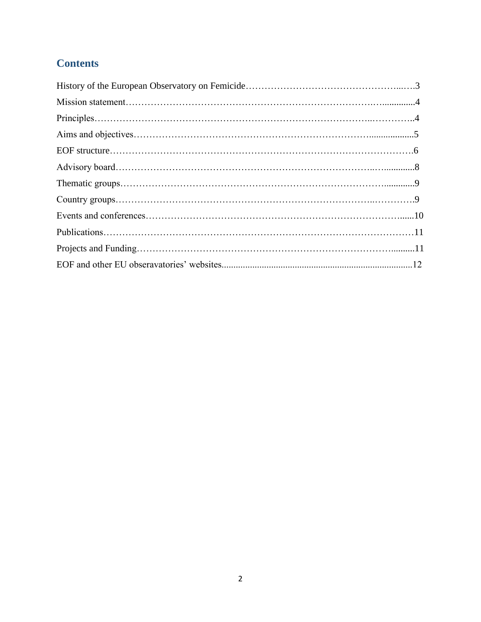# **Contents**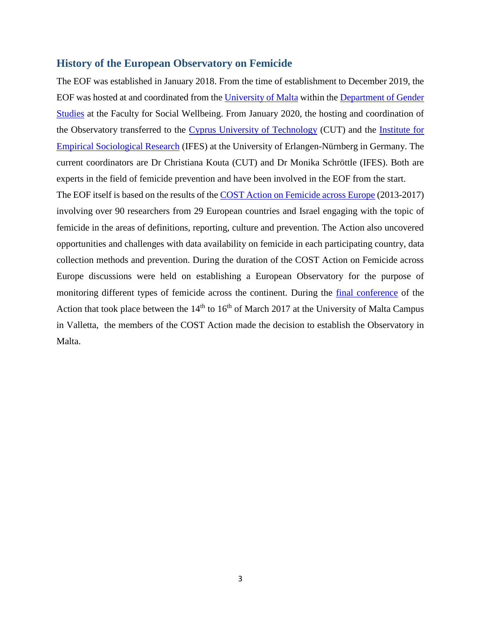#### **History of the European Observatory on Femicide**

The EOF was established in January 2018. From the time of establishment to December 2019, the EOF was hosted at and coordinated from the [University of Malta](https://www.um.edu.mt/) within the [Department of Gender](https://www.um.edu.mt/socialwellbeing/genderstudies)  [Studies](https://www.um.edu.mt/socialwellbeing/genderstudies) at the Faculty for Social Wellbeing. From January 2020, the hosting and coordination of the Observatory transferred to the [Cyprus University of Technology](https://www.cut.ac.cy/?languageId=1) (CUT) and the [Institute for](https://www.ifes.fau.de/)  [Empirical Sociological Research](https://www.ifes.fau.de/) (IFES) at the University of Erlangen-Nürnberg in Germany. The current coordinators are Dr Christiana Kouta (CUT) and Dr Monika Schröttle (IFES). Both are experts in the field of femicide prevention and have been involved in the EOF from the start.

The EOF itself is based on the results of the [COST Action on Femicide across Europe](https://www.cost.eu/actions/IS1206/#tabs|Name:overview) (2013-2017) involving over 90 researchers from 29 European countries and Israel engaging with the topic of femicide in the areas of definitions, reporting, culture and prevention. The Action also uncovered opportunities and challenges with data availability on femicide in each participating country, data collection methods and prevention. During the duration of the COST Action on Femicide across Europe discussions were held on establishing a European Observatory for the purpose of monitoring different types of femicide across the continent. During the [final conference](https://www.um.edu.mt/events/iccf2017) of the Action that took place between the  $14<sup>th</sup>$  to  $16<sup>th</sup>$  of March 2017 at the University of Malta Campus in Valletta, the members of the COST Action made the decision to establish the Observatory in Malta.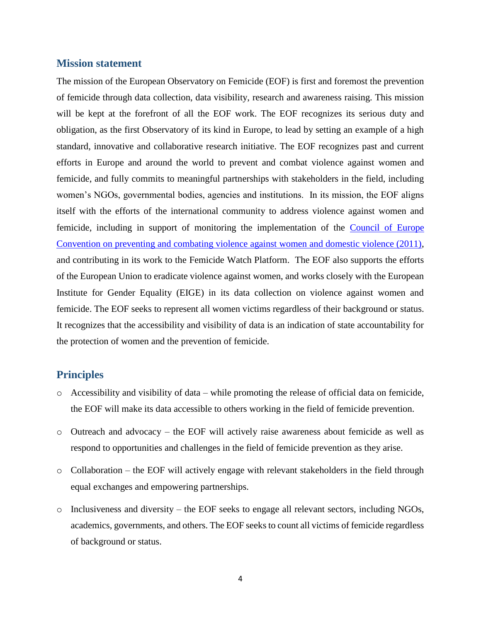#### **Mission statement**

The mission of the European Observatory on Femicide (EOF) is first and foremost the prevention of femicide through data collection, data visibility, research and awareness raising. This mission will be kept at the forefront of all the EOF work. The EOF recognizes its serious duty and obligation, as the first Observatory of its kind in Europe, to lead by setting an example of a high standard, innovative and collaborative research initiative. The EOF recognizes past and current efforts in Europe and around the world to prevent and combat violence against women and femicide, and fully commits to meaningful partnerships with stakeholders in the field, including women's NGOs, governmental bodies, agencies and institutions. In its mission, the EOF aligns itself with the efforts of the international community to address violence against women and femicide, including in support of monitoring the implementation of the [Council of Europe](https://www.coe.int/en/web/conventions/full-list/-/conventions/treaty/210)  [Convention on preventing and combating violence against women and domestic violence \(2011\),](https://www.coe.int/en/web/conventions/full-list/-/conventions/treaty/210) and contributing in its work to the [Femicide Watch Platform.](http://femicide-watch.org/) The EOF also supports the efforts of the European Union to eradicate violence against women, and works closely with the European Institute for Gender Equality (EIGE) in its data collection on violence against women and femicide. The EOF seeks to represent all women victims regardless of their background or status. It recognizes that the accessibility and visibility of data is an indication of state accountability for the protection of women and the prevention of femicide.

#### **Principles**

- o Accessibility and visibility of data while promoting the release of official data on femicide, the EOF will make its data accessible to others working in the field of femicide prevention.
- o Outreach and advocacy the EOF will actively raise awareness about femicide as well as respond to opportunities and challenges in the field of femicide prevention as they arise.
- o Collaboration the EOF will actively engage with relevant stakeholders in the field through equal exchanges and empowering partnerships.
- o Inclusiveness and diversity the EOF seeks to engage all relevant sectors, including NGOs, academics, governments, and others. The EOF seeks to count all victims of femicide regardless of background or status.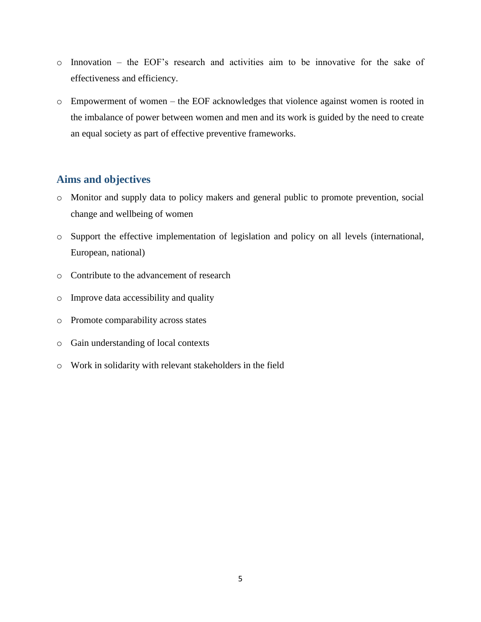- o Innovation the EOF's research and activities aim to be innovative for the sake of effectiveness and efficiency.
- o Empowerment of women the EOF acknowledges that violence against women is rooted in the imbalance of power between women and men and its work is guided by the need to create an equal society as part of effective preventive frameworks.

## **Aims and objectives**

- o Monitor and supply data to policy makers and general public to promote prevention, social change and wellbeing of women
- o Support the effective implementation of legislation and policy on all levels (international, European, national)
- o Contribute to the advancement of research
- o Improve data accessibility and quality
- o Promote comparability across states
- o Gain understanding of local contexts
- o Work in solidarity with relevant stakeholders in the field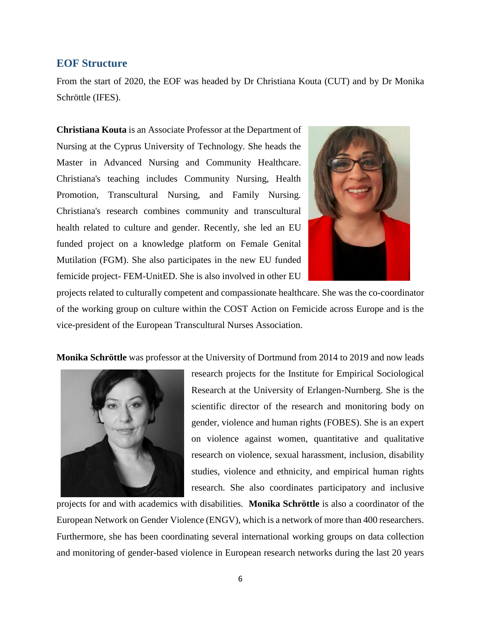#### **EOF Structure**

From the start of 2020, the EOF was headed by Dr Christiana Kouta (CUT) and by Dr Monika Schröttle (IFES).

**Christiana Kouta** is an Associate Professor at the Department of Nursing at the Cyprus University of Technology. She heads the Master in Advanced Nursing and Community Healthcare. Christiana's teaching includes Community Nursing, Health Promotion, Transcultural Nursing, and Family Nursing. Christiana's research combines community and transcultural health related to culture and gender. Recently, she led an EU funded project on a knowledge platform on Female Genital Mutilation (FGM). She also participates in the new EU funded femicide project- FEM-UnitED. She is also involved in other EU



projects related to culturally competent and compassionate healthcare. She was the co-coordinator of the working group on culture within the COST Action on Femicide across Europe and is the vice-president of the European Transcultural Nurses Association.

**Monika Schröttle** was professor at the University of Dortmund from 2014 to 2019 and now leads



research projects for the Institute for Empirical Sociological Research at the University of Erlangen-Nurnberg. She is the scientific director of the research and monitoring body on gender, violence and human rights (FOBES). She is an expert on violence against women, quantitative and qualitative research on violence, sexual harassment, inclusion, disability studies, violence and ethnicity, and empirical human rights research. She also coordinates participatory and inclusive

projects for and with academics with disabilities. **Monika Schröttle** is also a coordinator of the European Network on Gender Violence (ENGV), which is a network of more than 400 researchers. Furthermore, she has been coordinating several international working groups on data collection and monitoring of gender-based violence in European research networks during the last 20 years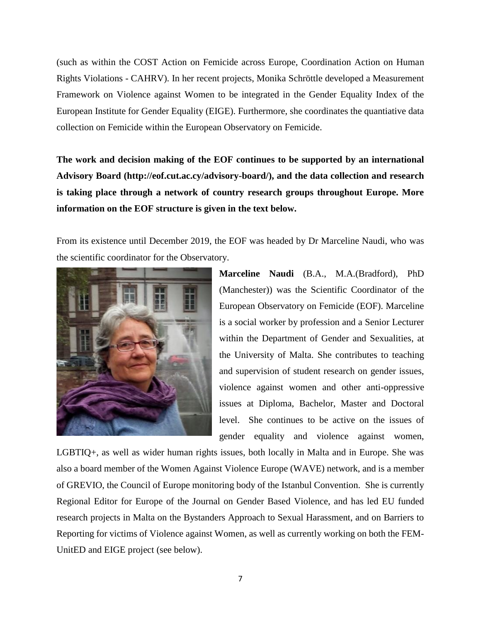(such as within the COST Action on Femicide across Europe, Coordination Action on Human Rights Violations - CAHRV). In her recent projects, Monika Schröttle developed a Measurement Framework on Violence against Women to be integrated in the Gender Equality Index of the European Institute for Gender Equality (EIGE). Furthermore, she coordinates the quantiative data collection on Femicide within the European Observatory on Femicide.

**The work and decision making of the EOF continues to be supported by an international Advisory Board (http://eof.cut.ac.cy/advisory-board/), and the data collection and research is taking place through a network of country research groups throughout Europe. More information on the EOF structure is given in the text below.**

From its existence until December 2019, the EOF was headed by Dr Marceline Naudi, who was the scientific coordinator for the Observatory.



**Marceline Naudi** (B.A., M.A.(Bradford), PhD (Manchester)) was the Scientific Coordinator of the European Observatory on Femicide (EOF). Marceline is a social worker by profession and a Senior Lecturer within the Department of Gender and Sexualities, at the University of Malta. She contributes to teaching and supervision of student research on gender issues, violence against women and other anti-oppressive issues at Diploma, Bachelor, Master and Doctoral level. She continues to be active on the issues of gender equality and violence against women,

LGBTIQ+, as well as wider human rights issues, both locally in Malta and in Europe. She was also a board member of the Women Against Violence Europe (WAVE) network, and is a member of GREVIO, the Council of Europe monitoring body of the Istanbul Convention. She is currently Regional Editor for Europe of the Journal on Gender Based Violence, and has led EU funded research projects in Malta on the Bystanders Approach to Sexual Harassment, and on Barriers to Reporting for victims of Violence against Women, as well as currently working on both the FEM-UnitED and EIGE project (see below).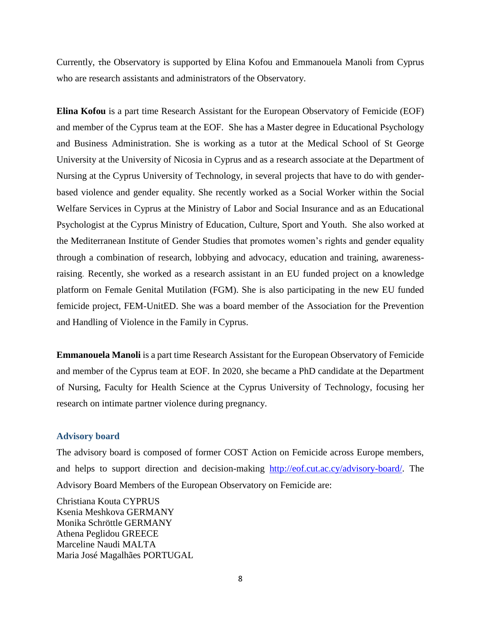Currently, τhe Observatory is supported by Elina Kofou and Emmanouela Manoli from Cyprus who are research assistants and administrators of the Observatory.

**Elina Kofou** is a part time Research Assistant for the European Observatory of Femicide (EOF) and member of the Cyprus team at the EOF. She has a Master degree in Educational Psychology and Business Administration. She is working as a tutor at the Medical School of St George University at the University of Nicosia in Cyprus and as a research associate at the Department of Nursing at the Cyprus University of Technology, in several projects that have to do with genderbased violence and gender equality. She recently worked as a Social Worker within the Social Welfare Services in Cyprus at the Ministry of Labor and Social Insurance and as an Educational Psychologist at the Cyprus Ministry of Education, Culture, Sport and Youth. She also worked at the Mediterranean Institute of Gender Studies that promotes women's rights and gender equality through a combination of research, lobbying and advocacy, education and training, awarenessraising. Recently, she worked as a research assistant in an EU funded project on a knowledge platform on Female Genital Mutilation (FGM). She is also participating in the new EU funded femicide project, FEM-UnitED. She was a board member of the Association for the Prevention and Handling of Violence in the Family in Cyprus.

**Emmanouela Manoli** is a part time Research Assistant for the European Observatory of Femicide and member of the Cyprus team at EOF. In 2020, she became a PhD candidate at the Department of Nursing, Faculty for Health Science at the Cyprus University of Technology, focusing her research on intimate partner violence during pregnancy.

#### **Advisory board**

The advisory board is composed of former COST Action on Femicide across Europe members, and helps to support direction and decision-making [http://eof.cut.ac.cy/advisory-board/.](http://eof.cut.ac.cy/advisory-board/) The Advisory Board Members of the European Observatory on Femicide are:

[Christiana Kouta](http://eof.cut.ac.cy/advisory-board/) CYPRUS [Ksenia Meshkova](http://eof.cut.ac.cy/advisory-board/) GERMANY [Monika Schröttle](http://eof.cut.ac.cy/advisory-board/) GERMANY Athena Peglidou GREECE [Marceline Naudi](http://eof.cut.ac.cy/advisory-board/) MALTA [Maria José Magalhães](http://eof.cut.ac.cy/advisory-board/) PORTUGAL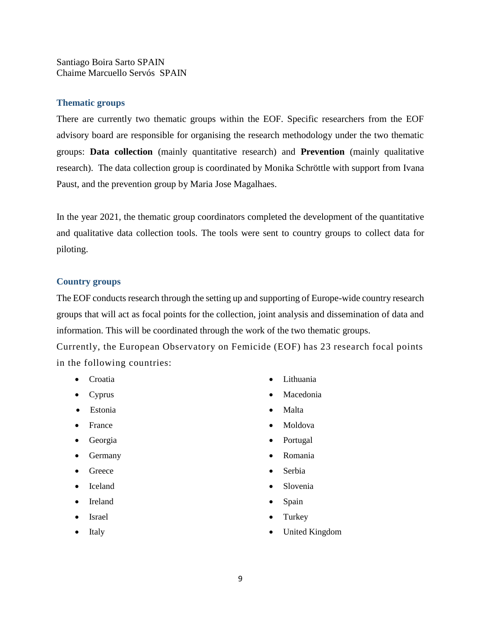[Santiago Boira Sarto](http://eof.cut.ac.cy/advisory-board/) SPAIN [Chaime Marcuello Servós](http://eof.cut.ac.cy/advisory-board/) SPAIN

#### **Thematic groups**

There are currently two thematic groups within the EOF. Specific researchers from the EOF advisory board are responsible for organising the research methodology under the two thematic groups: **Data collection** (mainly quantitative research) and **Prevention** (mainly qualitative research). The data collection group is coordinated by Monika Schröttle with support from Ivana Paust, and the prevention group by Maria Jose Magalhaes.

In the year 2021, the thematic group coordinators completed the development of the quantitative and qualitative data collection tools. The tools were sent to country groups to collect data for piloting.

#### **Country groups**

The EOF conducts research through the setting up and supporting of Europe-wide country research groups that will act as focal points for the collection, joint analysis and dissemination of data and information. This will be coordinated through the work of the two thematic groups.

Currently, the European Observatory on Femicide (EOF) has 23 research focal points in the following countries:

- 
- 
- Estonia Malta
- 
- 
- Germany Romania
- Greece Serbia
- 
- Ireland Spain
- 
- 
- Croatia Lithuania
- Cyprus Macedonia
	-
- France Moldova
- Georgia  **Portugal** 
	-
	-
- Iceland Slovenia
	-
- Israel Turkey
	- Italy  **United Kingdom**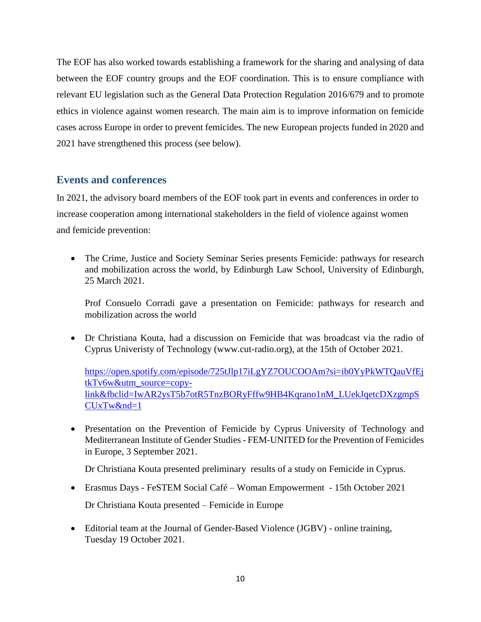Τhe EOF has also worked towards establishing a framework for the sharing and analysing of data between the EOF country groups and the EOF coordination. This is to ensure compliance with relevant EU legislation such as the General Data Protection Regulation 2016/679 and to promote ethics in violence against women research. The main aim is to improve information on femicide cases across Europe in order to prevent femicides. The new European projects funded in 2020 and 2021 have strengthened this process (see below).

## **Events and conferences**

In 2021, the advisory board members of the EOF took part in events and conferences in order to increase cooperation among international stakeholders in the field of violence against women and femicide prevention:

• The Crime, Justice and Society Seminar Series presents Femicide: pathways for research and mobilization across the world, by Edinburgh Law School, University of Edinburgh, 25 March 2021.

Prof Consuelo Corradi gave a presentation on Femicide: pathways for research and mobilization across the world

• Dr Christiana Kouta, had a discussion on Femicide that was broadcast via the radio of Cyprus Univeristy of Technology [\(www.cut-radio.org\)](https://l.facebook.com/l.php?u=http%3A%2F%2Fwww.cut-radio.org%2F%3Ffbclid%3DIwAR08_KSxQqrqf0GTPwct7RoIr8hQC1S1dhDo5BKPLofyiM7HTLMKMHxJNUU&h=AT0FsjpR5rDtMufU-FTZp8Ca2N801uUKgw1yE3cTcMf9Oq8O5GX3HyTlPWAKzyWddqe_eL4HF4jzz8Wy9__yK-ga6kzHs_7RTcFYPxqdrcLp6rDxmFpm-9AkToRn-_c2Hg), at the 15th of October 2021.

[https://open.spotify.com/episode/725tJlp17iLgYZ7OUCOOAm?si=ib0YyPkWTQauVfEj](https://open.spotify.com/episode/725tJlp17iLgYZ7OUCOOAm?si=ib0YyPkWTQauVfEjtkTv6w&utm_source=copy-link&fbclid=IwAR2ysT5b7otR5TnzBORyFffw9HB4Kqrano1nM_LUekJqetcDXzgmpSCUxTw&nd=1) [tkTv6w&utm\\_source=copy](https://open.spotify.com/episode/725tJlp17iLgYZ7OUCOOAm?si=ib0YyPkWTQauVfEjtkTv6w&utm_source=copy-link&fbclid=IwAR2ysT5b7otR5TnzBORyFffw9HB4Kqrano1nM_LUekJqetcDXzgmpSCUxTw&nd=1)[link&fbclid=IwAR2ysT5b7otR5TnzBORyFffw9HB4Kqrano1nM\\_LUekJqetcDXzgmpS](https://open.spotify.com/episode/725tJlp17iLgYZ7OUCOOAm?si=ib0YyPkWTQauVfEjtkTv6w&utm_source=copy-link&fbclid=IwAR2ysT5b7otR5TnzBORyFffw9HB4Kqrano1nM_LUekJqetcDXzgmpSCUxTw&nd=1) [CUxTw&nd=1](https://open.spotify.com/episode/725tJlp17iLgYZ7OUCOOAm?si=ib0YyPkWTQauVfEjtkTv6w&utm_source=copy-link&fbclid=IwAR2ysT5b7otR5TnzBORyFffw9HB4Kqrano1nM_LUekJqetcDXzgmpSCUxTw&nd=1)

• Presentation on the Prevention of Femicide by Cyprus University of Technology and Mediterranean Institute of Gender Studies - FEM-UNITED for the Prevention of Femicides in Europe, 3 September 2021.

Dr Christiana Kouta presented preliminary results of a study on Femicide in Cyprus.

• Erasmus Days - FeSTEM Social Café – Woman Empowerment - 15th October 2021

Dr Christiana Kouta presented – Femicide in Europe

• Editorial team at the Journal of Gender-Based Violence (JGBV) - online training, Tuesday 19 October 2021.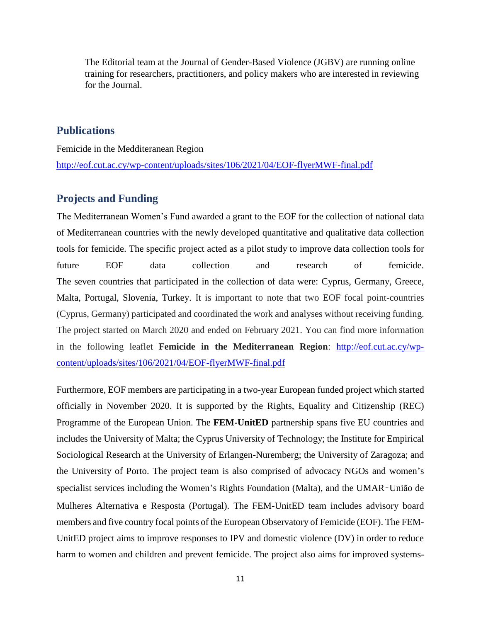The Editorial team at the Journal of Gender-Based Violence (JGBV) are running online training for researchers, practitioners, and policy makers who are interested in reviewing for the Journal.

### **Publications**

Femicide in the Medditeranean Region <http://eof.cut.ac.cy/wp-content/uploads/sites/106/2021/04/EOF-flyerMWF-final.pdf>

### **Projects and Funding**

The Mediterranean Women's Fund awarded a grant to the EOF for the collection of national data of Mediterranean countries with the newly developed quantitative and qualitative data collection tools for femicide. The specific project acted as a pilot study to improve data collection tools for future EOF data collection and research of femicide. The seven countries that participated in the collection of data were: Cyprus, Germany, Greece, Malta, Portugal, Slovenia, Turkey. It is important to note that two EOF focal point-countries (Cyprus, Germany) participated and coordinated the work and analyses without receiving funding. The project started on March 2020 and ended on February 2021. You can find more information in the following leaflet **Femicide in the Mediterranean Region**: [http://eof.cut.ac.cy/wp](http://eof.cut.ac.cy/wp-content/uploads/sites/106/2021/04/EOF-flyerMWF-final.pdf)[content/uploads/sites/106/2021/04/EOF-flyerMWF-final.pdf](http://eof.cut.ac.cy/wp-content/uploads/sites/106/2021/04/EOF-flyerMWF-final.pdf)

Furthermore, EOF members are participating in a two-year European funded project which started officially in November 2020. It is supported by the Rights, Equality and Citizenship (REC) Programme of the European Union. The **FEM-UnitED** partnership spans five EU countries and includes the University of Malta; the Cyprus University of Technology; the Institute for Empirical Sociological Research at the University of Erlangen-Nuremberg; the University of Zaragoza; and the University of Porto. The project team is also comprised of advocacy NGOs and women's specialist services including the Women's Rights Foundation (Malta), and the UMAR–União de Mulheres Alternativa e Resposta (Portugal). The FEM-UnitED team includes advisory board members and five country focal points of the European Observatory of Femicide (EOF). The FEM-UnitED project aims to improve responses to IPV and domestic violence (DV) in order to reduce harm to women and children and prevent femicide. The project also aims for improved systems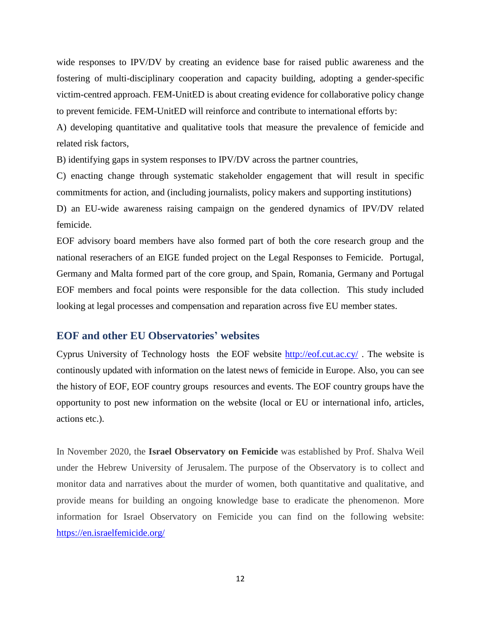wide responses to IPV/DV by creating an evidence base for raised public awareness and the fostering of multi-disciplinary cooperation and capacity building, adopting a gender-specific victim-centred approach. FEM-UnitED is about creating evidence for collaborative policy change to prevent femicide. FEM-UnitED will reinforce and contribute to international efforts by:

A) developing quantitative and qualitative tools that measure the prevalence of femicide and related risk factors,

B) identifying gaps in system responses to IPV/DV across the partner countries,

C) enacting change through systematic stakeholder engagement that will result in specific commitments for action, and (including journalists, policy makers and supporting institutions) D) an EU-wide awareness raising campaign on the gendered dynamics of IPV/DV related

femicide.

EOF advisory board members have also formed part of both the core research group and the national reserachers of an EIGE funded project on the Legal Responses to Femicide. Portugal, Germany and Malta formed part of the core group, and Spain, Romania, Germany and Portugal EOF members and focal points were responsible for the data collection. This study included looking at legal processes and compensation and reparation across five EU member states.

#### **EOF and other EU Observatories' websites**

Cyprus University of Technology hosts the EOF website <http://eof.cut.ac.cy/> . The website is continously updated with information on the latest news of femicide in Europe. Also, you can see the history of EOF, EOF country groups resources and events. The EOF country groups have the opportunity to post new information on the website (local or EU or international info, articles, actions etc.).

In November 2020, the **Israel Observatory on Femicide** was established by Prof. Shalva Weil under the Hebrew University of Jerusalem. The purpose of the Observatory is to collect and monitor data and narratives about the murder of women, both quantitative and qualitative, and provide means for building an ongoing knowledge base to eradicate the phenomenon. More information for Israel Observatory on Femicide you can find on the following website: <https://en.israelfemicide.org/>